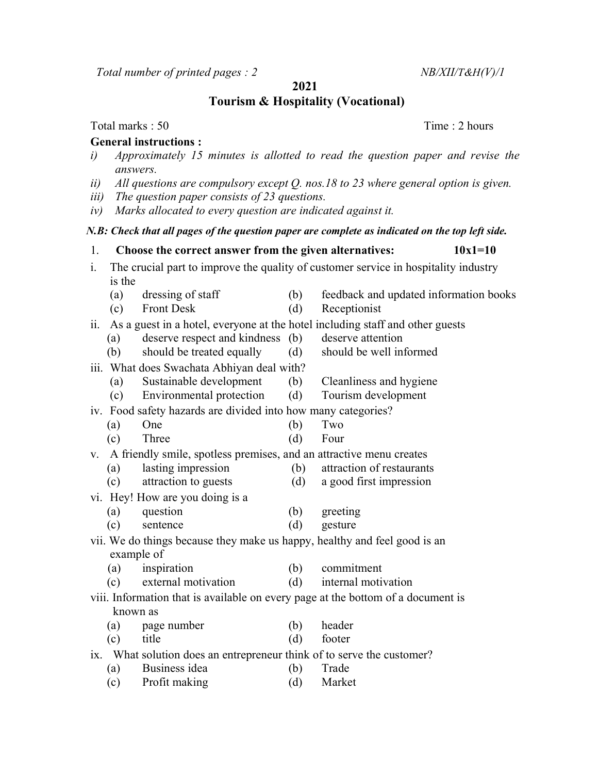$Total number of printed pages: 2$   $NB/XII/T&H(V)/1$ 

2021

Tourism & Hospitality (Vocational)

Total marks : 50 Total marks : 50 Total marks : 50 Total marks : 2 hours

## General instructions :

- i) Approximately 15 minutes is allotted to read the question paper and revise the answers.
- ii) All questions are compulsory except Q. nos.18 to 23 where general option is given.
- iii) The question paper consists of 23 questions.
- iv) Marks allocated to every question are indicated against it.

## N.B: Check that all pages of the question paper are complete as indicated on the top left side.

1. Choose the correct answer from the given alternatives:  $10x1=10$ i. The crucial part to improve the quality of customer service in hospitality industry is the (a) dressing of staff (b) feedback and updated information books (c) Front Desk (d) Receptionist ii. As a guest in a hotel, everyone at the hotel including staff and other guests (a) deserve respect and kindness (b) deserve attention (b) should be treated equally (d) should be well informed iii. What does Swachata Abhiyan deal with? (a) Sustainable development (b) Cleanliness and hygiene (c) Environmental protection (d) Tourism development iv. Food safety hazards are divided into how many categories? (a) One (b) Two (c) Three (d) Four v. A friendly smile, spotless premises, and an attractive menu creates (a) lasting impression (b) attraction of restaurants (c) attraction to guests (d) a good first impression vi. Hey! How are you doing is a (a) question (b) greeting (c) sentence (d) gesture vii. We do things because they make us happy, healthy and feel good is an example of (a) inspiration (b) commitment (c) external motivation (d) internal motivation viii. Information that is available on every page at the bottom of a document is known as (a) page number (b) header (c) title (d) footer ix. What solution does an entrepreneur think of to serve the customer? (a) Business idea (b) Trade

(c) Profit making (d) Market